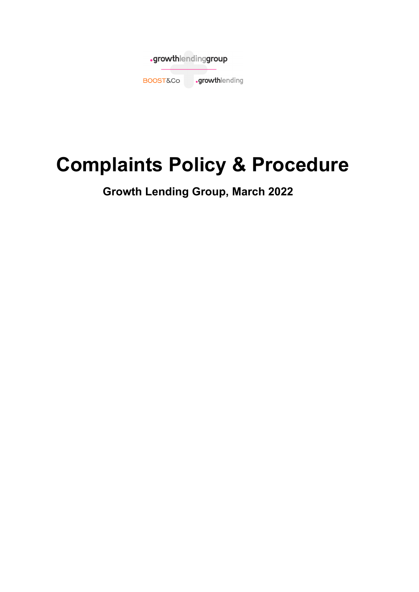

# **Complaints Policy & Procedure**

**Growth Lending Group, March 2022**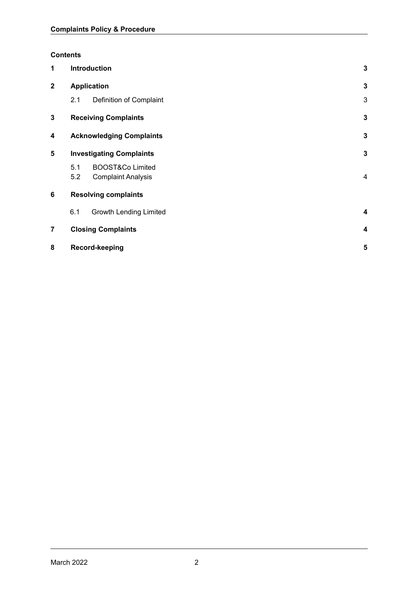#### **Contents**

| 1              | <b>Introduction</b>                  | 3            |
|----------------|--------------------------------------|--------------|
| $\mathbf 2$    | <b>Application</b>                   | $\mathbf{3}$ |
|                | 2.1<br>Definition of Complaint       | 3            |
| 3              | <b>Receiving Complaints</b>          | 3            |
| 4              | <b>Acknowledging Complaints</b>      | $\mathbf{3}$ |
| 5              | <b>Investigating Complaints</b>      | $\mathbf{3}$ |
|                | <b>BOOST&amp;Co Limited</b><br>5.1   |              |
|                | 5.2<br><b>Complaint Analysis</b>     | 4            |
| 6              | <b>Resolving complaints</b>          |              |
|                | 6.1<br><b>Growth Lending Limited</b> | 4            |
| $\overline{7}$ | <b>Closing Complaints</b>            | 4            |
| 8              | Record-keeping                       | 5            |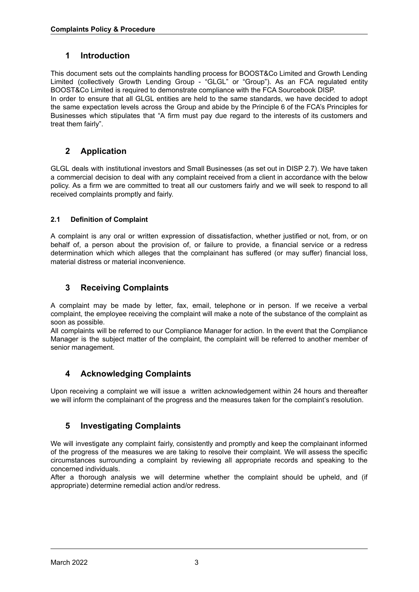# <span id="page-2-0"></span>**1 Introduction**

This document sets out the complaints handling process for BOOST&Co Limited and Growth Lending Limited (collectively Growth Lending Group - "GLGL" or "Group"). As an FCA regulated entity BOOST&Co Limited is required to demonstrate compliance with the FCA Sourcebook DISP.

In order to ensure that all GLGL entities are held to the same standards, we have decided to adopt the same expectation levels across the Group and abide by the Principle 6 of the FCA's Principles for Businesses which stipulates that "A firm must pay due regard to the interests of its customers and treat them fairly".

# <span id="page-2-1"></span>**2 Application**

GLGL deals with institutional investors and Small Businesses (as set out in DISP 2.7). We have taken a commercial decision to deal with any complaint received from a client in accordance with the below policy. As a firm we are committed to treat all our customers fairly and we will seek to respond to all received complaints promptly and fairly.

#### <span id="page-2-2"></span>**2.1 Definition of Complaint**

A complaint is any oral or written expression of dissatisfaction, whether justified or not, from, or on behalf of, a person about the provision of, or failure to provide, a financial service or a redress determination which which alleges that the complainant has suffered (or may suffer) financial loss, material distress or material inconvenience*.*

# <span id="page-2-3"></span>**3 Receiving Complaints**

A complaint may be made by letter, fax, email, telephone or in person. If we receive a verbal complaint, the employee receiving the complaint will make a note of the substance of the complaint as soon as possible.

All complaints will be referred to our Compliance Manager for action. In the event that the Compliance Manager is the subject matter of the complaint, the complaint will be referred to another member of senior management.

## <span id="page-2-4"></span>**4 Acknowledging Complaints**

Upon receiving a complaint we will issue a written acknowledgement within 24 hours and thereafter we will inform the complainant of the progress and the measures taken for the complaint's resolution.

## <span id="page-2-5"></span>**5 Investigating Complaints**

We will investigate any complaint fairly, consistently and promptly and keep the complainant informed of the progress of the measures we are taking to resolve their complaint. We will assess the specific circumstances surrounding a complaint by reviewing all appropriate records and speaking to the concerned individuals.

After a thorough analysis we will determine whether the complaint should be upheld, and (if appropriate) determine remedial action and/or redress.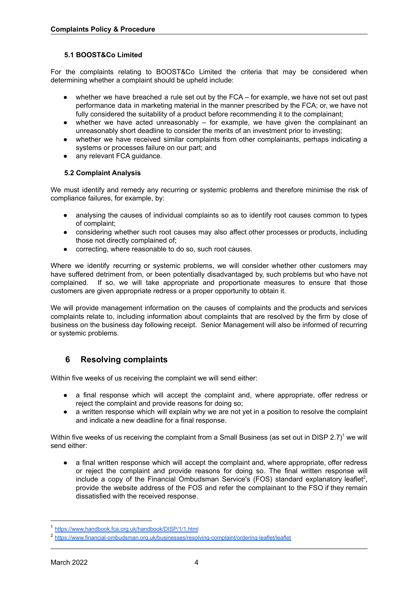#### **5.1 BOOST&Co Limited**

For the complaints relating to BOOST&Co Limited the criteria that may be considered when determining whether a complaint should be upheld include:

- whether we have breached a rule set out by the FCA for example, we have not set out past performance data in marketing material in the manner prescribed by the FCA; or, we have not fully considered the suitability of a product before recommending it to the complainant;
- whether we have acted unreasonably for example, we have given the complainant an unreasonably short deadline to consider the merits of an investment prior to investing;
- whether we have received similar complaints from other complainants, perhaps indicating a systems or processes failure on our part; and
- any relevant FCA quidance.

#### <span id="page-3-0"></span>**5.2 Complaint Analysis**

We must identify and remedy any recurring or systemic problems and therefore minimise the risk of compliance failures, for example, by:

- analysing the causes of individual complaints so as to identify root causes common to types of complaint;
- considering whether such root causes may also affect other processes or products, including those not directly complained of;
- correcting, where reasonable to do so, such root causes.

Where we identify recurring or systemic problems, we will consider whether other customers may have suffered detriment from, or been potentially disadvantaged by, such problems but who have not complained. If so, we will take appropriate and proportionate measures to ensure that those customers are given appropriate redress or a proper opportunity to obtain it.

We will provide management information on the causes of complaints and the products and services complaints relate to, including information about complaints that are resolved by the firm by close of business on the business day following receipt. Senior Management will also be informed of recurring or systemic problems.

## <span id="page-3-1"></span>**6 Resolving complaints**

Within five weeks of us receiving the complaint we will send either:

- a final response which will accept the complaint and, where appropriate, offer redress or reject the complaint and provide reasons for doing so;
- a written response which will explain why we are not yet in a position to resolve the complaint and indicate a new deadline for a final response.

Within five weeks of us receiving the complaint from a Small Business (as set out in DISP 2.7)<sup>1</sup> we will send either:

● a final written response which will accept the complaint and, where appropriate, offer redress or reject the complaint and provide reasons for doing so. The final written response will include a copy of the Financial Ombudsman Service's (FOS) standard explanatory leaflet<sup>2</sup>, provide the website address of the FOS and refer the complainant to the FSO if they remain dissatisfied with the received response.

<sup>1</sup> <https://www.handbook.fca.org.uk/handbook/DISP/1/1.html>

<sup>2</sup> <https://www.financial-ombudsman.org.uk/businesses/resolving-complaint/ordering-leaflet/leaflet>